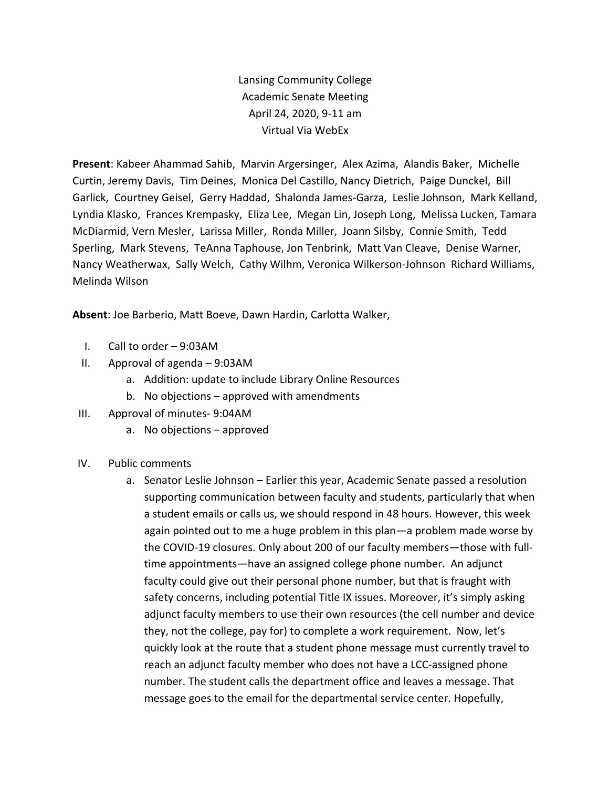Lansing Community College Academic Senate Meeting April 24, 2020, 9-11 am Virtual Via WebEx

**Present**: Kabeer Ahammad Sahib, Marvin Argersinger, Alex Azima, Alandis Baker, Michelle Curtin, Jeremy Davis, Tim Deines, Monica Del Castillo, Nancy Dietrich, Paige Dunckel, Bill Garlick, Courtney Geisel, Gerry Haddad, Shalonda James-Garza, Leslie Johnson, Mark Kelland, Lyndia Klasko, Frances Krempasky, Eliza Lee, Megan Lin, Joseph Long, Melissa Lucken, Tamara McDiarmid, Vern Mesler, Larissa Miller, Ronda Miller, Joann Silsby, Connie Smith, Tedd Sperling, Mark Stevens, TeAnna Taphouse, Jon Tenbrink, Matt Van Cleave, Denise Warner, Nancy Weatherwax, Sally Welch, Cathy Wilhm, Veronica Wilkerson-Johnson Richard Williams, Melinda Wilson

**Absent**: Joe Barberio, Matt Boeve, Dawn Hardin, Carlotta Walker,

- I. Call to order 9:03AM
- II. Approval of agenda 9:03AM
	- a. Addition: update to include Library Online Resources
	- b. No objections approved with amendments
- III. Approval of minutes- 9:04AM
	- a. No objections approved
- IV. Public comments
	- a. Senator Leslie Johnson Earlier this year, Academic Senate passed a resolution supporting communication between faculty and students, particularly that when a student emails or calls us, we should respond in 48 hours. However, this week again pointed out to me a huge problem in this plan—a problem made worse by the COVID-19 closures. Only about 200 of our faculty members—those with fulltime appointments—have an assigned college phone number. An adjunct faculty could give out their personal phone number, but that is fraught with safety concerns, including potential Title IX issues. Moreover, it's simply asking adjunct faculty members to use their own resources (the cell number and device they, not the college, pay for) to complete a work requirement. Now, let's quickly look at the route that a student phone message must currently travel to reach an adjunct faculty member who does not have a LCC-assigned phone number. The student calls the department office and leaves a message. That message goes to the email for the departmental service center. Hopefully,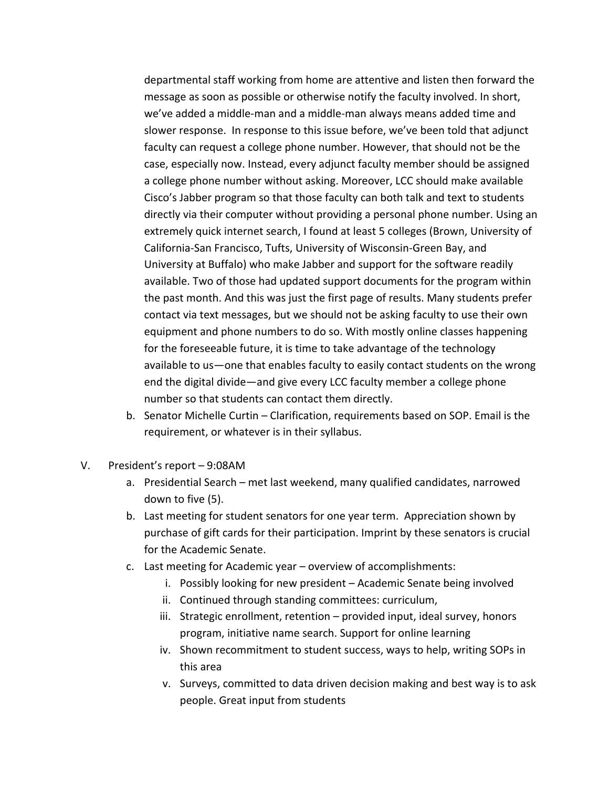departmental staff working from home are attentive and listen then forward the message as soon as possible or otherwise notify the faculty involved. In short, we've added a middle-man and a middle-man always means added time and slower response. In response to this issue before, we've been told that adjunct faculty can request a college phone number. However, that should not be the case, especially now. Instead, every adjunct faculty member should be assigned a college phone number without asking. Moreover, LCC should make available Cisco's Jabber program so that those faculty can both talk and text to students directly via their computer without providing a personal phone number. Using an extremely quick internet search, I found at least 5 colleges (Brown, University of California-San Francisco, Tufts, University of Wisconsin-Green Bay, and University at Buffalo) who make Jabber and support for the software readily available. Two of those had updated support documents for the program within the past month. And this was just the first page of results. Many students prefer contact via text messages, but we should not be asking faculty to use their own equipment and phone numbers to do so. With mostly online classes happening for the foreseeable future, it is time to take advantage of the technology available to us—one that enables faculty to easily contact students on the wrong end the digital divide—and give every LCC faculty member a college phone number so that students can contact them directly.

- b. Senator Michelle Curtin Clarification, requirements based on SOP. Email is the requirement, or whatever is in their syllabus.
- V. President's report 9:08AM
	- a. Presidential Search met last weekend, many qualified candidates, narrowed down to five (5).
	- b. Last meeting for student senators for one year term. Appreciation shown by purchase of gift cards for their participation. Imprint by these senators is crucial for the Academic Senate.
	- c. Last meeting for Academic year overview of accomplishments:
		- i. Possibly looking for new president Academic Senate being involved
		- ii. Continued through standing committees: curriculum,
		- iii. Strategic enrollment, retention provided input, ideal survey, honors program, initiative name search. Support for online learning
		- iv. Shown recommitment to student success, ways to help, writing SOPs in this area
		- v. Surveys, committed to data driven decision making and best way is to ask people. Great input from students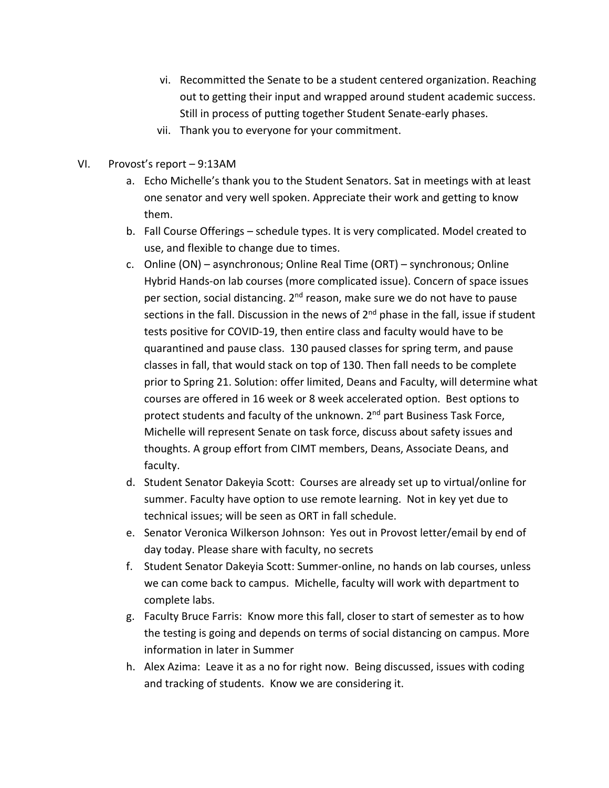- vi. Recommitted the Senate to be a student centered organization. Reaching out to getting their input and wrapped around student academic success. Still in process of putting together Student Senate-early phases.
- vii. Thank you to everyone for your commitment.
- VI. Provost's report 9:13AM
	- a. Echo Michelle's thank you to the Student Senators. Sat in meetings with at least one senator and very well spoken. Appreciate their work and getting to know them.
	- b. Fall Course Offerings schedule types. It is very complicated. Model created to use, and flexible to change due to times.
	- c. Online (ON) asynchronous; Online Real Time (ORT) synchronous; Online Hybrid Hands-on lab courses (more complicated issue). Concern of space issues per section, social distancing. 2<sup>nd</sup> reason, make sure we do not have to pause sections in the fall. Discussion in the news of  $2<sup>nd</sup>$  phase in the fall, issue if student tests positive for COVID-19, then entire class and faculty would have to be quarantined and pause class. 130 paused classes for spring term, and pause classes in fall, that would stack on top of 130. Then fall needs to be complete prior to Spring 21. Solution: offer limited, Deans and Faculty, will determine what courses are offered in 16 week or 8 week accelerated option. Best options to protect students and faculty of the unknown. 2<sup>nd</sup> part Business Task Force, Michelle will represent Senate on task force, discuss about safety issues and thoughts. A group effort from CIMT members, Deans, Associate Deans, and faculty.
	- d. Student Senator Dakeyia Scott: Courses are already set up to virtual/online for summer. Faculty have option to use remote learning. Not in key yet due to technical issues; will be seen as ORT in fall schedule.
	- e. Senator Veronica Wilkerson Johnson: Yes out in Provost letter/email by end of day today. Please share with faculty, no secrets
	- f. Student Senator Dakeyia Scott: Summer-online, no hands on lab courses, unless we can come back to campus. Michelle, faculty will work with department to complete labs.
	- g. Faculty Bruce Farris: Know more this fall, closer to start of semester as to how the testing is going and depends on terms of social distancing on campus. More information in later in Summer
	- h. Alex Azima: Leave it as a no for right now. Being discussed, issues with coding and tracking of students. Know we are considering it.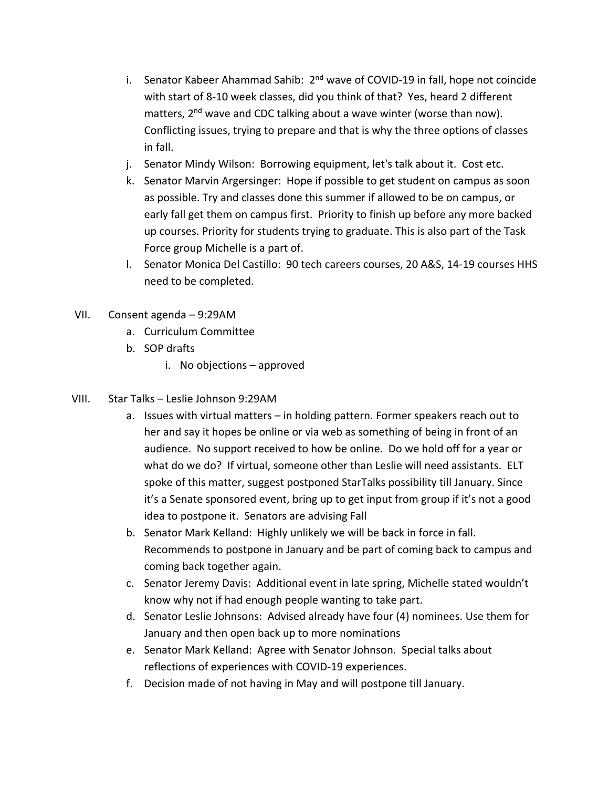- i. Senator Kabeer Ahammad Sahib: 2<sup>nd</sup> wave of COVID-19 in fall, hope not coincide with start of 8-10 week classes, did you think of that? Yes, heard 2 different matters, 2<sup>nd</sup> wave and CDC talking about a wave winter (worse than now). Conflicting issues, trying to prepare and that is why the three options of classes in fall.
- j. Senator Mindy Wilson: Borrowing equipment, let's talk about it. Cost etc.
- k. Senator Marvin Argersinger: Hope if possible to get student on campus as soon as possible. Try and classes done this summer if allowed to be on campus, or early fall get them on campus first. Priority to finish up before any more backed up courses. Priority for students trying to graduate. This is also part of the Task Force group Michelle is a part of.
- l. Senator Monica Del Castillo: 90 tech careers courses, 20 A&S, 14-19 courses HHS need to be completed.
- VII. Consent agenda 9:29AM
	- a. Curriculum Committee
	- b. SOP drafts
		- i. No objections approved
- VIII. Star Talks Leslie Johnson 9:29AM
	- a. Issues with virtual matters in holding pattern. Former speakers reach out to her and say it hopes be online or via web as something of being in front of an audience. No support received to how be online. Do we hold off for a year or what do we do? If virtual, someone other than Leslie will need assistants. ELT spoke of this matter, suggest postponed StarTalks possibility till January. Since it's a Senate sponsored event, bring up to get input from group if it's not a good idea to postpone it. Senators are advising Fall
	- b. Senator Mark Kelland: Highly unlikely we will be back in force in fall. Recommends to postpone in January and be part of coming back to campus and coming back together again.
	- c. Senator Jeremy Davis: Additional event in late spring, Michelle stated wouldn't know why not if had enough people wanting to take part.
	- d. Senator Leslie Johnsons: Advised already have four (4) nominees. Use them for January and then open back up to more nominations
	- e. Senator Mark Kelland: Agree with Senator Johnson. Special talks about reflections of experiences with COVID-19 experiences.
	- f. Decision made of not having in May and will postpone till January.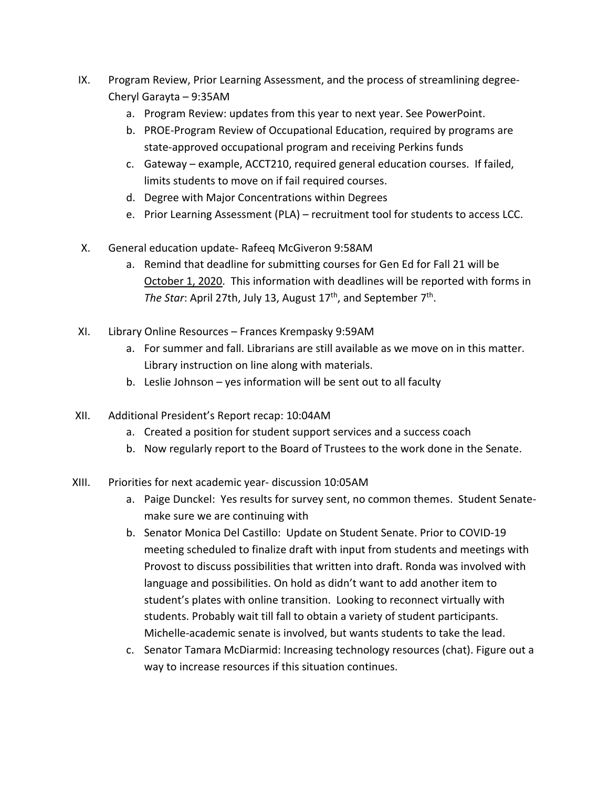- IX. Program Review, Prior Learning Assessment, and the process of streamlining degree-Cheryl Garayta – 9:35AM
	- a. Program Review: updates from this year to next year. See PowerPoint.
	- b. PROE-Program Review of Occupational Education, required by programs are state-approved occupational program and receiving Perkins funds
	- c. Gateway example, ACCT210, required general education courses. If failed, limits students to move on if fail required courses.
	- d. Degree with Major Concentrations within Degrees
	- e. Prior Learning Assessment (PLA) recruitment tool for students to access LCC.
- X. General education update- Rafeeq McGiveron 9:58AM
	- a. Remind that deadline for submitting courses for Gen Ed for Fall 21 will be October 1, 2020. This information with deadlines will be reported with forms in *The Star*: April 27th, July 13, August 17<sup>th</sup>, and September 7<sup>th</sup>.
- XI. Library Online Resources Frances Krempasky 9:59AM
	- a. For summer and fall. Librarians are still available as we move on in this matter. Library instruction on line along with materials.
	- b. Leslie Johnson yes information will be sent out to all faculty
- XII. Additional President's Report recap: 10:04AM
	- a. Created a position for student support services and a success coach
	- b. Now regularly report to the Board of Trustees to the work done in the Senate.
- XIII. Priorities for next academic year- discussion 10:05AM
	- a. Paige Dunckel: Yes results for survey sent, no common themes. Student Senatemake sure we are continuing with
	- b. Senator Monica Del Castillo: Update on Student Senate. Prior to COVID-19 meeting scheduled to finalize draft with input from students and meetings with Provost to discuss possibilities that written into draft. Ronda was involved with language and possibilities. On hold as didn't want to add another item to student's plates with online transition. Looking to reconnect virtually with students. Probably wait till fall to obtain a variety of student participants. Michelle-academic senate is involved, but wants students to take the lead.
	- c. Senator Tamara McDiarmid: Increasing technology resources (chat). Figure out a way to increase resources if this situation continues.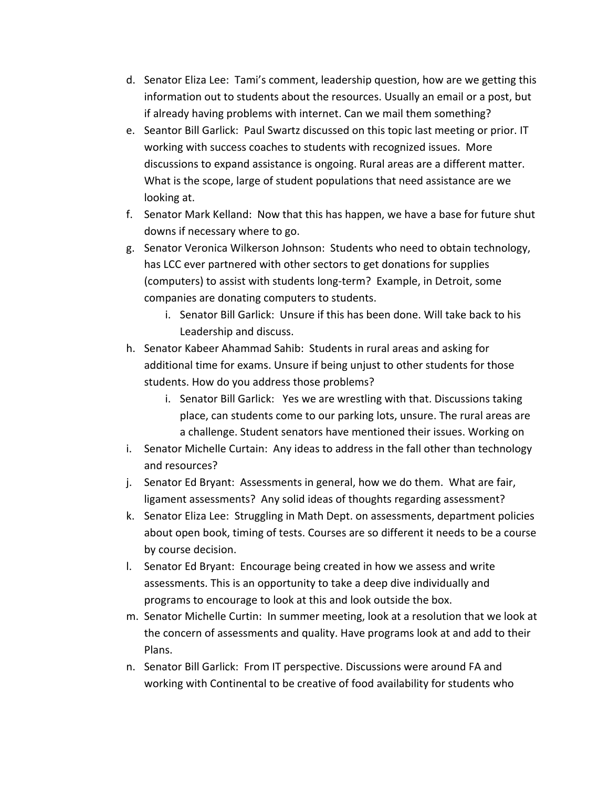- d. Senator Eliza Lee: Tami's comment, leadership question, how are we getting this information out to students about the resources. Usually an email or a post, but if already having problems with internet. Can we mail them something?
- e. Seantor Bill Garlick: Paul Swartz discussed on this topic last meeting or prior. IT working with success coaches to students with recognized issues. More discussions to expand assistance is ongoing. Rural areas are a different matter. What is the scope, large of student populations that need assistance are we looking at.
- f. Senator Mark Kelland: Now that this has happen, we have a base for future shut downs if necessary where to go.
- g. Senator Veronica Wilkerson Johnson: Students who need to obtain technology, has LCC ever partnered with other sectors to get donations for supplies (computers) to assist with students long-term? Example, in Detroit, some companies are donating computers to students.
	- i. Senator Bill Garlick: Unsure if this has been done. Will take back to his Leadership and discuss.
- h. Senator Kabeer Ahammad Sahib: Students in rural areas and asking for additional time for exams. Unsure if being unjust to other students for those students. How do you address those problems?
	- i. Senator Bill Garlick: Yes we are wrestling with that. Discussions taking place, can students come to our parking lots, unsure. The rural areas are a challenge. Student senators have mentioned their issues. Working on
- i. Senator Michelle Curtain: Any ideas to address in the fall other than technology and resources?
- j. Senator Ed Bryant: Assessments in general, how we do them. What are fair, ligament assessments? Any solid ideas of thoughts regarding assessment?
- k. Senator Eliza Lee: Struggling in Math Dept. on assessments, department policies about open book, timing of tests. Courses are so different it needs to be a course by course decision.
- l. Senator Ed Bryant: Encourage being created in how we assess and write assessments. This is an opportunity to take a deep dive individually and programs to encourage to look at this and look outside the box.
- m. Senator Michelle Curtin: In summer meeting, look at a resolution that we look at the concern of assessments and quality. Have programs look at and add to their Plans.
- n. Senator Bill Garlick: From IT perspective. Discussions were around FA and working with Continental to be creative of food availability for students who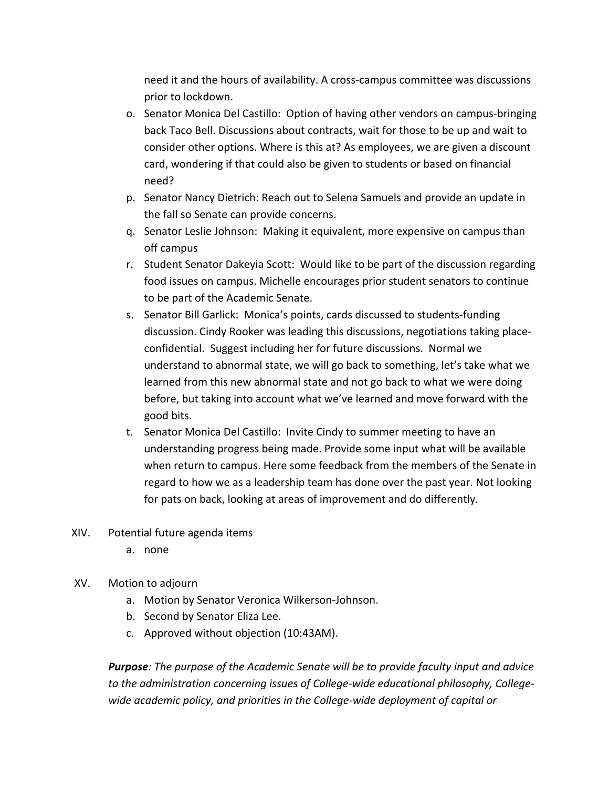need it and the hours of availability. A cross-campus committee was discussions prior to lockdown.

- o. Senator Monica Del Castillo: Option of having other vendors on campus-bringing back Taco Bell. Discussions about contracts, wait for those to be up and wait to consider other options. Where is this at? As employees, we are given a discount card, wondering if that could also be given to students or based on financial need?
- p. Senator Nancy Dietrich: Reach out to Selena Samuels and provide an update in the fall so Senate can provide concerns.
- q. Senator Leslie Johnson: Making it equivalent, more expensive on campus than off campus
- r. Student Senator Dakeyia Scott: Would like to be part of the discussion regarding food issues on campus. Michelle encourages prior student senators to continue to be part of the Academic Senate.
- s. Senator Bill Garlick: Monica's points, cards discussed to students-funding discussion. Cindy Rooker was leading this discussions, negotiations taking placeconfidential. Suggest including her for future discussions. Normal we understand to abnormal state, we will go back to something, let's take what we learned from this new abnormal state and not go back to what we were doing before, but taking into account what we've learned and move forward with the good bits.
- t. Senator Monica Del Castillo: Invite Cindy to summer meeting to have an understanding progress being made. Provide some input what will be available when return to campus. Here some feedback from the members of the Senate in regard to how we as a leadership team has done over the past year. Not looking for pats on back, looking at areas of improvement and do differently.
- XIV. Potential future agenda items
	- a. none
- XV. Motion to adjourn
	- a. Motion by Senator Veronica Wilkerson-Johnson.
	- b. Second by Senator Eliza Lee.
	- c. Approved without objection (10:43AM).

*Purpose: The purpose of the Academic Senate will be to provide faculty input and advice to the administration concerning issues of College-wide educational philosophy, Collegewide academic policy, and priorities in the College-wide deployment of capital or*